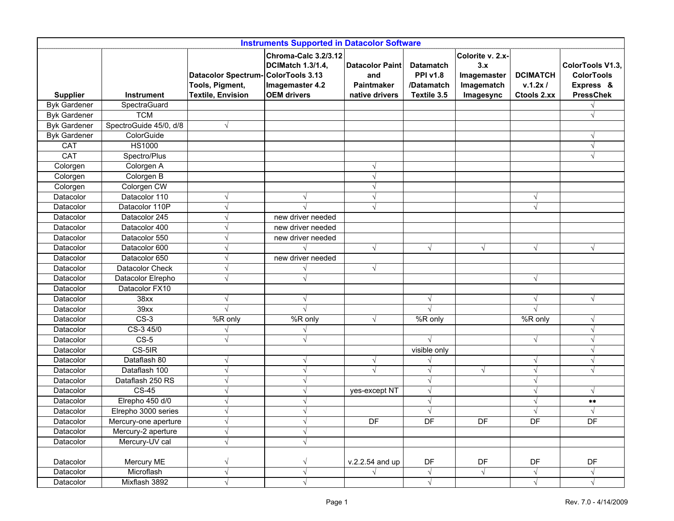| <b>Instruments Supported in Datacolor Software</b> |                        |                                                                                   |                                                                                           |                                                               |                                                                  |                                                                   |                                           |                                                                        |
|----------------------------------------------------|------------------------|-----------------------------------------------------------------------------------|-------------------------------------------------------------------------------------------|---------------------------------------------------------------|------------------------------------------------------------------|-------------------------------------------------------------------|-------------------------------------------|------------------------------------------------------------------------|
| <b>Supplier</b>                                    | <b>Instrument</b>      | Datacolor Spectrum-ColorTools 3.13<br>Tools, Pigment,<br><b>Textile, Envision</b> | Chroma-Calc 3.2/3.12<br><b>DCIMatch 1.3/1.4,</b><br>Imagemaster 4.2<br><b>OEM drivers</b> | <b>Datacolor Paint</b><br>and<br>Paintmaker<br>native drivers | <b>Datamatch</b><br><b>PPI v1.8</b><br>/Datamatch<br>Textile 3.5 | Colorite v. 2.x-<br>3.x<br>Imagemaster<br>Imagematch<br>Imagesync | <b>DCIMATCH</b><br>v.1.2x/<br>Ctools 2.xx | ColorTools V1.3,<br><b>ColorTools</b><br>Express &<br><b>PressChek</b> |
| <b>Byk Gardener</b>                                | SpectraGuard           |                                                                                   |                                                                                           |                                                               |                                                                  |                                                                   |                                           |                                                                        |
| <b>Byk Gardener</b>                                | <b>TCM</b>             |                                                                                   |                                                                                           |                                                               |                                                                  |                                                                   |                                           | $\sqrt{ }$                                                             |
| <b>Byk Gardener</b>                                | SpectroGuide 45/0, d/8 | $\sqrt{ }$                                                                        |                                                                                           |                                                               |                                                                  |                                                                   |                                           |                                                                        |
| <b>Byk Gardener</b>                                | ColorGuide             |                                                                                   |                                                                                           |                                                               |                                                                  |                                                                   |                                           | $\sqrt{ }$                                                             |
| CAT                                                | <b>HS1000</b>          |                                                                                   |                                                                                           |                                                               |                                                                  |                                                                   |                                           | $\sqrt{ }$                                                             |
| <b>CAT</b>                                         | Spectro/Plus           |                                                                                   |                                                                                           |                                                               |                                                                  |                                                                   |                                           | $\sqrt{ }$                                                             |
| Colorgen                                           | Colorgen A             |                                                                                   |                                                                                           |                                                               |                                                                  |                                                                   |                                           |                                                                        |
| Colorgen                                           | Colorgen B             |                                                                                   |                                                                                           |                                                               |                                                                  |                                                                   |                                           |                                                                        |
| Colorgen                                           | Colorgen CW            |                                                                                   |                                                                                           |                                                               |                                                                  |                                                                   |                                           |                                                                        |
| Datacolor                                          | Datacolor 110          | V                                                                                 | $\sqrt{}$                                                                                 |                                                               |                                                                  |                                                                   | $\mathcal{N}$                             |                                                                        |
| Datacolor                                          | Datacolor 110P         | $\sqrt{}$                                                                         |                                                                                           |                                                               |                                                                  |                                                                   | $\sqrt{ }$                                |                                                                        |
| Datacolor                                          | Datacolor 245          | √                                                                                 | new driver needed                                                                         |                                                               |                                                                  |                                                                   |                                           |                                                                        |
| Datacolor                                          | Datacolor 400          | V                                                                                 | new driver needed                                                                         |                                                               |                                                                  |                                                                   |                                           |                                                                        |
| Datacolor                                          | Datacolor 550          | V                                                                                 | new driver needed                                                                         |                                                               |                                                                  |                                                                   |                                           |                                                                        |
| Datacolor                                          | Datacolor 600          | V                                                                                 |                                                                                           | $\sqrt{ }$                                                    | $\sqrt{}$                                                        | $\sqrt{}$                                                         | $\sqrt{ }$                                | $\sqrt{ }$                                                             |
| Datacolor                                          | Datacolor 650          | $\sqrt{}$                                                                         | new driver needed                                                                         |                                                               |                                                                  |                                                                   |                                           |                                                                        |
| Datacolor                                          | Datacolor Check        | V                                                                                 |                                                                                           | V                                                             |                                                                  |                                                                   |                                           |                                                                        |
| Datacolor                                          | Datacolor Elrepho      | $\sqrt{}$                                                                         | $\sqrt{ }$                                                                                |                                                               |                                                                  |                                                                   | $\sqrt{ }$                                |                                                                        |
| Datacolor                                          | Datacolor FX10         |                                                                                   |                                                                                           |                                                               |                                                                  |                                                                   |                                           |                                                                        |
| Datacolor                                          | 38xx                   | √                                                                                 | $\sqrt{}$                                                                                 |                                                               | V                                                                |                                                                   | $\sqrt{ }$                                | $\sqrt{ }$                                                             |
| Datacolor                                          | 39xx                   | $\sqrt{ }$                                                                        | $\sqrt{ }$                                                                                |                                                               |                                                                  |                                                                   | $\sqrt{ }$                                |                                                                        |
| Datacolor                                          | $CS-3$                 | $\overline{\%}R$ only                                                             | $\overline{\%}R$ only                                                                     | $\sqrt{ }$                                                    | %R only                                                          |                                                                   | %R only                                   | $\sqrt{ }$                                                             |
| Datacolor                                          | CS-3 45/0              |                                                                                   |                                                                                           |                                                               |                                                                  |                                                                   |                                           | $\sqrt{ }$                                                             |
| Datacolor                                          | $CS-5$                 | $\sqrt{}$                                                                         | $\sqrt{}$                                                                                 |                                                               |                                                                  |                                                                   | $\sqrt{ }$                                | $\mathcal{L}$                                                          |
| Datacolor                                          | CS-5IR                 |                                                                                   |                                                                                           |                                                               | visible only                                                     |                                                                   |                                           | $\sqrt{ }$                                                             |
| Datacolor                                          | Dataflash 80           | $\sqrt{}$                                                                         | $\sqrt{}$                                                                                 | $\sqrt{ }$                                                    |                                                                  |                                                                   | $\sqrt{ }$                                | $\sqrt{ }$                                                             |
| Datacolor                                          | Dataflash 100          | $\sqrt{}$                                                                         | $\sqrt{ }$                                                                                |                                                               | V                                                                | $\sqrt{}$                                                         | $\sqrt{ }$                                | $\sqrt{ }$                                                             |
| Datacolor                                          | Dataflash 250 RS       | V                                                                                 | $\sqrt{}$                                                                                 |                                                               | V                                                                |                                                                   |                                           |                                                                        |
| Datacolor                                          | <b>CS-45</b>           | $\sqrt{}$                                                                         | $\sqrt{}$                                                                                 | yes-except NT                                                 | $\sqrt{}$                                                        |                                                                   | $\sqrt{ }$                                | $\sqrt{ }$                                                             |
| Datacolor                                          | Elrepho 450 d/0        | V                                                                                 | $\sqrt{ }$                                                                                |                                                               |                                                                  |                                                                   | $\sqrt{ }$                                | $***$                                                                  |
| Datacolor                                          | Elrepho 3000 series    | V                                                                                 | $\sqrt{ }$                                                                                |                                                               |                                                                  |                                                                   | $\sqrt{ }$                                | $\sqrt{ }$                                                             |
| Datacolor                                          | Mercury-one aperture   | $\sqrt{ }$                                                                        | $\sqrt{}$                                                                                 | DF                                                            | DF                                                               | DF                                                                | DF                                        | DF                                                                     |
| Datacolor                                          | Mercury-2 aperture     | $\sqrt{}$                                                                         | $\sqrt{ }$                                                                                |                                                               |                                                                  |                                                                   |                                           |                                                                        |
| Datacolor                                          | Mercury-UV cal         | $\sqrt{}$                                                                         | $\sqrt{}$                                                                                 |                                                               |                                                                  |                                                                   |                                           |                                                                        |
| Datacolor                                          | Mercury ME             | $\sqrt{}$                                                                         | $\sqrt{ }$                                                                                | v.2.2.54 and up                                               | DF                                                               | DF                                                                | DF                                        | DF                                                                     |
| Datacolor                                          | Microflash             | $\sqrt{ }$                                                                        | $\sqrt{ }$                                                                                | $\sqrt{ }$                                                    | $\sqrt{}$                                                        | $\sqrt{ }$                                                        | $\sqrt{}$                                 | $\sqrt{ }$                                                             |
| Datacolor                                          | Mixflash 3892          | $\sqrt{ }$                                                                        | $\sqrt{ }$                                                                                |                                                               | $\sqrt{}$                                                        |                                                                   | $\sqrt{}$                                 | $\sqrt{ }$                                                             |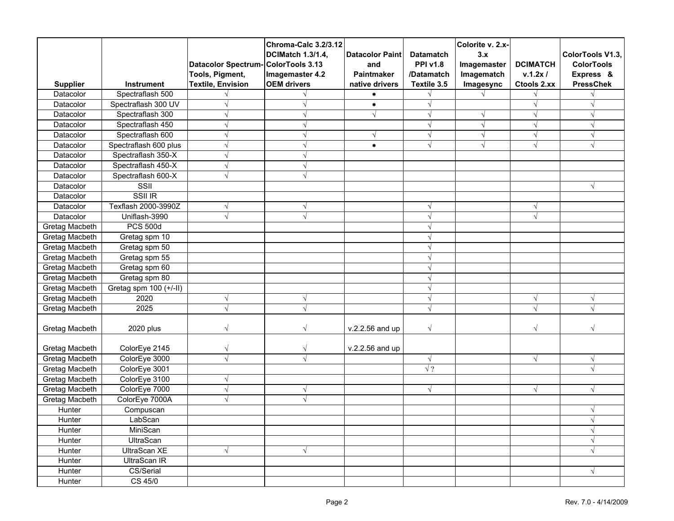| <b>Supplier</b>                                                    | <b>Instrument</b>                                                                                     | Datacolor Spectrum-ColorTools 3.13<br>Tools, Pigment,<br><b>Textile, Envision</b> | Chroma-Calc 3.2/3.12<br><b>DCIMatch 1.3/1.4,</b><br>Imagemaster 4.2<br><b>OEM</b> drivers | <b>Datacolor Paint</b><br>and<br>Paintmaker<br>native drivers | <b>Datamatch</b><br><b>PPI v1.8</b><br>/Datamatch<br>Textile 3.5 | Colorite v. 2.x-<br>3.x<br>Imagemaster<br>Imagematch<br>Imagesync | <b>DCIMATCH</b><br>v.1.2x/<br>Ctools 2.xx | ColorTools V1.3,<br><b>ColorTools</b><br>Express &<br><b>PressChek</b> |
|--------------------------------------------------------------------|-------------------------------------------------------------------------------------------------------|-----------------------------------------------------------------------------------|-------------------------------------------------------------------------------------------|---------------------------------------------------------------|------------------------------------------------------------------|-------------------------------------------------------------------|-------------------------------------------|------------------------------------------------------------------------|
| Datacolor                                                          | Spectraflash 500                                                                                      |                                                                                   |                                                                                           |                                                               |                                                                  |                                                                   |                                           |                                                                        |
| Datacolor                                                          | Spectraflash 300 UV                                                                                   |                                                                                   |                                                                                           | *                                                             |                                                                  |                                                                   | $\sqrt{ }$                                |                                                                        |
| Datacolor                                                          | Spectraflash 300                                                                                      | $\sqrt{}$                                                                         |                                                                                           |                                                               | $\sqrt{}$                                                        | $\sqrt{ }$                                                        | $\sqrt{ }$                                | $\sqrt{ }$                                                             |
| Datacolor                                                          | Spectraflash 450                                                                                      | V                                                                                 |                                                                                           |                                                               | √                                                                | $\sqrt{ }$                                                        | $\sqrt{ }$                                | $\sqrt{ }$                                                             |
| Datacolor                                                          | Spectraflash 600                                                                                      | V                                                                                 |                                                                                           |                                                               | V                                                                | $\sqrt{ }$                                                        | $\sqrt{}$                                 | $\sqrt{ }$                                                             |
| Datacolor                                                          | Spectraflash 600 plus                                                                                 | N                                                                                 |                                                                                           | $\bullet$                                                     | $\sqrt{}$                                                        | $\sqrt{ }$                                                        | $\sqrt{}$                                 | $\sqrt{ }$                                                             |
| Datacolor                                                          | Spectraflash 350-X                                                                                    | $\sqrt{}$                                                                         |                                                                                           |                                                               |                                                                  |                                                                   |                                           |                                                                        |
| Datacolor                                                          | Spectraflash 450-X                                                                                    | $\sqrt{}$                                                                         |                                                                                           |                                                               |                                                                  |                                                                   |                                           |                                                                        |
| Datacolor                                                          | Spectraflash 600-X                                                                                    | $\sqrt{}$                                                                         |                                                                                           |                                                               |                                                                  |                                                                   |                                           |                                                                        |
| Datacolor                                                          | SSII                                                                                                  |                                                                                   |                                                                                           |                                                               |                                                                  |                                                                   |                                           | $\sqrt{ }$                                                             |
| Datacolor                                                          | SSII IR                                                                                               |                                                                                   |                                                                                           |                                                               |                                                                  |                                                                   |                                           |                                                                        |
| Datacolor                                                          | Texflash 2000-3990Z                                                                                   | $\sqrt{}$                                                                         |                                                                                           |                                                               |                                                                  |                                                                   | $\sqrt{}$                                 |                                                                        |
| Datacolor                                                          | Uniflash-3990                                                                                         | $\sqrt{}$                                                                         |                                                                                           |                                                               |                                                                  |                                                                   | $\sqrt{}$                                 |                                                                        |
| Gretag Macbeth                                                     | <b>PCS 500d</b>                                                                                       |                                                                                   |                                                                                           |                                                               |                                                                  |                                                                   |                                           |                                                                        |
| Gretag Macbeth                                                     | Gretag spm 10                                                                                         |                                                                                   |                                                                                           |                                                               |                                                                  |                                                                   |                                           |                                                                        |
| Gretag Macbeth                                                     | Gretag spm 50                                                                                         |                                                                                   |                                                                                           |                                                               |                                                                  |                                                                   |                                           |                                                                        |
| Gretag Macbeth                                                     | Gretag spm 55                                                                                         |                                                                                   |                                                                                           |                                                               |                                                                  |                                                                   |                                           |                                                                        |
| Gretag Macbeth                                                     | Gretag spm 60                                                                                         |                                                                                   |                                                                                           |                                                               |                                                                  |                                                                   |                                           |                                                                        |
| Gretag Macbeth                                                     | Gretag spm 80                                                                                         |                                                                                   |                                                                                           |                                                               |                                                                  |                                                                   |                                           |                                                                        |
| Gretag Macbeth                                                     | Gretag spm $100 (+/-11)$                                                                              |                                                                                   |                                                                                           |                                                               |                                                                  |                                                                   |                                           |                                                                        |
| Gretag Macbeth                                                     | 2020                                                                                                  | $\sqrt{}$                                                                         |                                                                                           |                                                               |                                                                  |                                                                   | $\sqrt{}$                                 | N                                                                      |
| Gretag Macbeth                                                     | 2025                                                                                                  | $\sqrt{ }$                                                                        |                                                                                           |                                                               |                                                                  |                                                                   |                                           |                                                                        |
| Gretag Macbeth                                                     | 2020 plus                                                                                             | $\sqrt{}$                                                                         |                                                                                           | v.2.2.56 and up                                               | $\sqrt{}$                                                        |                                                                   | $\sqrt{}$                                 |                                                                        |
| Gretag Macbeth                                                     | ColorEye 2145                                                                                         | $\sqrt{}$                                                                         | V                                                                                         | v.2.2.56 and up                                               |                                                                  |                                                                   |                                           |                                                                        |
| Gretag Macbeth                                                     | ColorEye 3000                                                                                         | $\sqrt{ }$                                                                        | $\sqrt{ }$                                                                                |                                                               | $\sqrt{}$                                                        |                                                                   | $\sqrt{ }$                                | $\sqrt{ }$                                                             |
| Gretag Macbeth                                                     | ColorEye 3001                                                                                         |                                                                                   |                                                                                           |                                                               | $\sqrt{?}$                                                       |                                                                   |                                           |                                                                        |
| Gretag Macbeth                                                     | ColorEye 3100                                                                                         | $\sqrt{}$                                                                         |                                                                                           |                                                               |                                                                  |                                                                   |                                           |                                                                        |
| Gretag Macbeth                                                     | ColorEye 7000                                                                                         | $\sqrt{ }$                                                                        | $\sqrt{}$                                                                                 |                                                               | $\sqrt{}$                                                        |                                                                   | $\sqrt{}$                                 | $\sqrt{ }$                                                             |
| Gretag Macbeth                                                     | ColorEye 7000A                                                                                        | $\sqrt{}$                                                                         | $\sqrt{}$                                                                                 |                                                               |                                                                  |                                                                   |                                           |                                                                        |
| Hunter                                                             |                                                                                                       |                                                                                   |                                                                                           |                                                               |                                                                  |                                                                   |                                           |                                                                        |
|                                                                    |                                                                                                       |                                                                                   |                                                                                           |                                                               |                                                                  |                                                                   |                                           |                                                                        |
|                                                                    |                                                                                                       |                                                                                   |                                                                                           |                                                               |                                                                  |                                                                   |                                           | $\sqrt{ }$                                                             |
|                                                                    |                                                                                                       |                                                                                   |                                                                                           |                                                               |                                                                  |                                                                   |                                           | $\sqrt{ }$                                                             |
|                                                                    |                                                                                                       | $\sqrt{ }$                                                                        | $\sqrt{ }$                                                                                |                                                               |                                                                  |                                                                   |                                           | $\sqrt{ }$                                                             |
|                                                                    |                                                                                                       |                                                                                   |                                                                                           |                                                               |                                                                  |                                                                   |                                           |                                                                        |
|                                                                    |                                                                                                       |                                                                                   |                                                                                           |                                                               |                                                                  |                                                                   |                                           | $\sqrt{ }$                                                             |
|                                                                    |                                                                                                       |                                                                                   |                                                                                           |                                                               |                                                                  |                                                                   |                                           |                                                                        |
| Hunter<br>Hunter<br>Hunter<br>Hunter<br>Hunter<br>Hunter<br>Hunter | Compuscan<br>LabScan<br>MiniScan<br>UltraScan<br>UltraScan XE<br>UltraScan IR<br>CS/Serial<br>CS 45/0 |                                                                                   |                                                                                           |                                                               |                                                                  |                                                                   |                                           | V                                                                      |